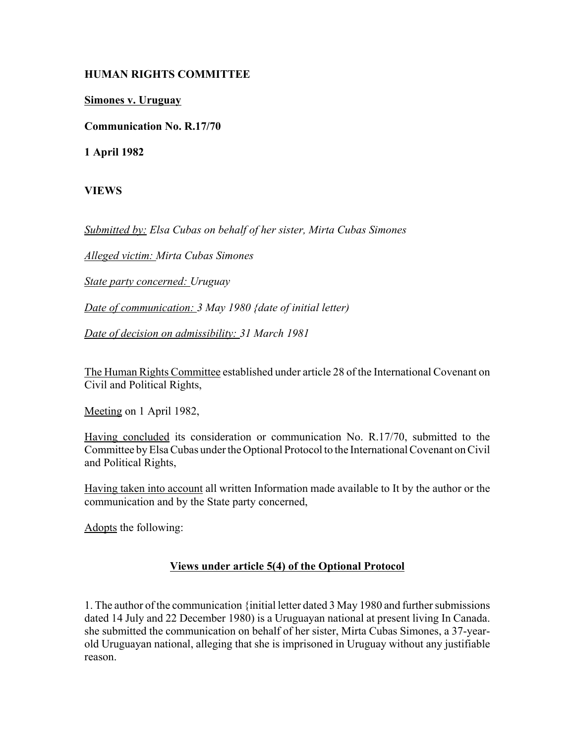## **HUMAN RIGHTS COMMITTEE**

**Simones v. Uruguay**

**Communication No. R.17/70**

**1 April 1982**

**VIEWS**

*Submitted by: Elsa Cubas on behalf of her sister, Mirta Cubas Simones* 

*Alleged victim: Mirta Cubas Simones* 

*State party concerned: Uruguay* 

*Date of communication: 3 May 1980 {date of initial letter)* 

*Date of decision on admissibility: 31 March 1981* 

The Human Rights Committee established under article 28 of the International Covenant on Civil and Political Rights,

Meeting on 1 April 1982,

Having concluded its consideration or communication No. R.17/70, submitted to the Committee by Elsa Cubas under the Optional Protocol to the International Covenant on Civil and Political Rights,

Having taken into account all written Information made available to It by the author or the communication and by the State party concerned,

Adopts the following:

## **Views under article 5(4) of the Optional Protocol**

1. The author of the communication {initial letter dated 3 May 1980 and further submissions dated 14 July and 22 December 1980) is a Uruguayan national at present living In Canada. she submitted the communication on behalf of her sister, Mirta Cubas Simones, a 37-yearold Uruguayan national, alleging that she is imprisoned in Uruguay without any justifiable reason.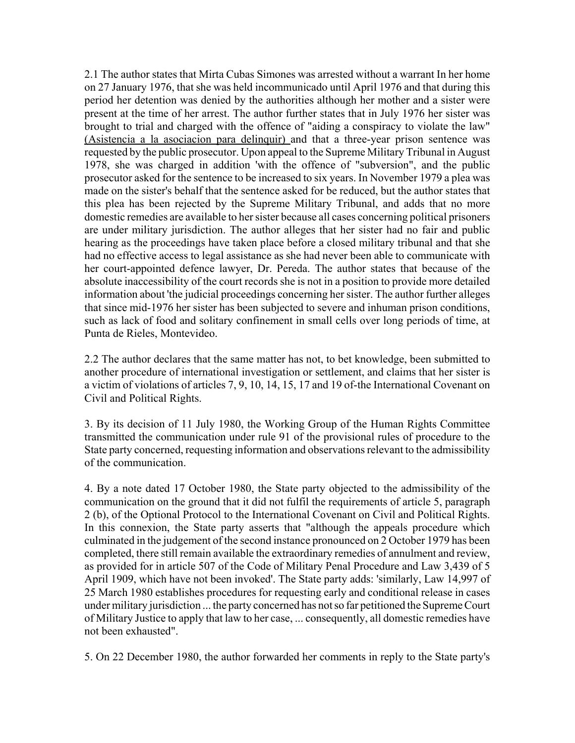2.1 The author states that Mirta Cubas Simones was arrested without a warrant In her home on 27 January 1976, that she was held incommunicado until April 1976 and that during this period her detention was denied by the authorities although her mother and a sister were present at the time of her arrest. The author further states that in July 1976 her sister was brought to trial and charged with the offence of "aiding a conspiracy to violate the law" (Asistencia a la asociacion para delinquir) and that a three-year prison sentence was requested by the public prosecutor. Upon appeal to the Supreme Military Tribunal in August 1978, she was charged in addition 'with the offence of "subversion", and the public prosecutor asked for the sentence to be increased to six years. In November 1979 a plea was made on the sister's behalf that the sentence asked for be reduced, but the author states that this plea has been rejected by the Supreme Military Tribunal, and adds that no more domestic remedies are available to her sister because all cases concerning political prisoners are under military jurisdiction. The author alleges that her sister had no fair and public hearing as the proceedings have taken place before a closed military tribunal and that she had no effective access to legal assistance as she had never been able to communicate with her court-appointed defence lawyer, Dr. Pereda. The author states that because of the absolute inaccessibility of the court records she is not in a position to provide more detailed information about 'the judicial proceedings concerning her sister. The author further alleges that since mid-1976 her sister has been subjected to severe and inhuman prison conditions, such as lack of food and solitary confinement in small cells over long periods of time, at Punta de Rieles, Montevideo.

2.2 The author declares that the same matter has not, to bet knowledge, been submitted to another procedure of international investigation or settlement, and claims that her sister is a victim of violations of articles 7, 9, 10, 14, 15, 17 and 19 of-the International Covenant on Civil and Political Rights.

3. By its decision of 11 July 1980, the Working Group of the Human Rights Committee transmitted the communication under rule 91 of the provisional rules of procedure to the State party concerned, requesting information and observations relevant to the admissibility of the communication.

4. By a note dated 17 October 1980, the State party objected to the admissibility of the communication on the ground that it did not fulfil the requirements of article 5, paragraph 2 (b), of the Optional Protocol to the International Covenant on Civil and Political Rights. In this connexion, the State party asserts that "although the appeals procedure which culminated in the judgement of the second instance pronounced on 2 October 1979 has been completed, there still remain available the extraordinary remedies of annulment and review, as provided for in article 507 of the Code of Military Penal Procedure and Law 3,439 of 5 April 1909, which have not been invoked'. The State party adds: 'similarly, Law 14,997 of 25 March 1980 establishes procedures for requesting early and conditional release in cases under military jurisdiction ... the party concerned has not so far petitioned the Supreme Court of Military Justice to apply that law to her case, ... consequently, all domestic remedies have not been exhausted".

5. On 22 December 1980, the author forwarded her comments in reply to the State party's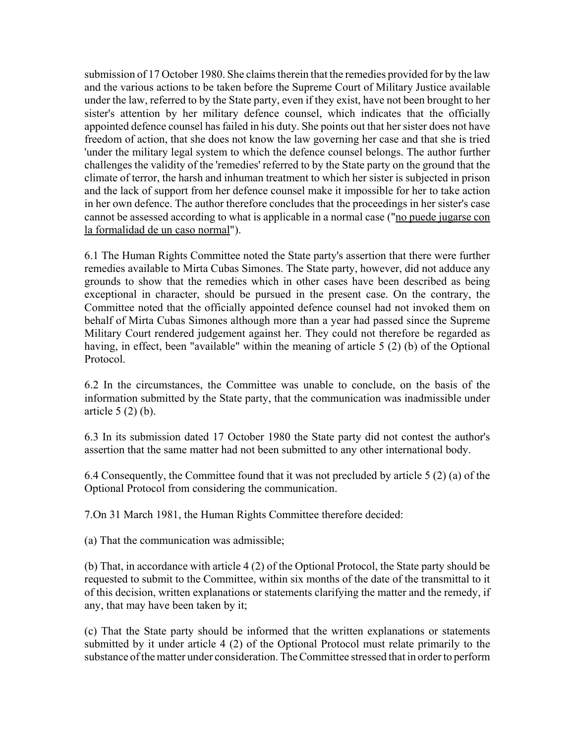submission of 17 October 1980. She claims therein that the remedies provided for by the law and the various actions to be taken before the Supreme Court of Military Justice available under the law, referred to by the State party, even if they exist, have not been brought to her sister's attention by her military defence counsel, which indicates that the officially appointed defence counsel has failed in his duty. She points out that her sister does not have freedom of action, that she does not know the law governing her case and that she is tried 'under the military legal system to which the defence counsel belongs. The author further challenges the validity of the 'remedies' referred to by the State party on the ground that the climate of terror, the harsh and inhuman treatment to which her sister is subjected in prison and the lack of support from her defence counsel make it impossible for her to take action in her own defence. The author therefore concludes that the proceedings in her sister's case cannot be assessed according to what is applicable in a normal case ("no puede jugarse con la formalidad de un caso normal").

6.1 The Human Rights Committee noted the State party's assertion that there were further remedies available to Mirta Cubas Simones. The State party, however, did not adduce any grounds to show that the remedies which in other cases have been described as being exceptional in character, should be pursued in the present case. On the contrary, the Committee noted that the officially appointed defence counsel had not invoked them on behalf of Mirta Cubas Simones although more than a year had passed since the Supreme Military Court rendered judgement against her. They could not therefore be regarded as having, in effect, been "available" within the meaning of article 5 (2) (b) of the Optional Protocol.

6.2 In the circumstances, the Committee was unable to conclude, on the basis of the information submitted by the State party, that the communication was inadmissible under article 5 (2) (b).

6.3 In its submission dated 17 October 1980 the State party did not contest the author's assertion that the same matter had not been submitted to any other international body.

6.4 Consequently, the Committee found that it was not precluded by article 5 (2) (a) of the Optional Protocol from considering the communication.

7.On 31 March 1981, the Human Rights Committee therefore decided:

(a) That the communication was admissible;

(b) That, in accordance with article 4 (2) of the Optional Protocol, the State party should be requested to submit to the Committee, within six months of the date of the transmittal to it of this decision, written explanations or statements clarifying the matter and the remedy, if any, that may have been taken by it;

(c) That the State party should be informed that the written explanations or statements submitted by it under article 4 (2) of the Optional Protocol must relate primarily to the substance of the matter under consideration. The Committee stressed that in order to perform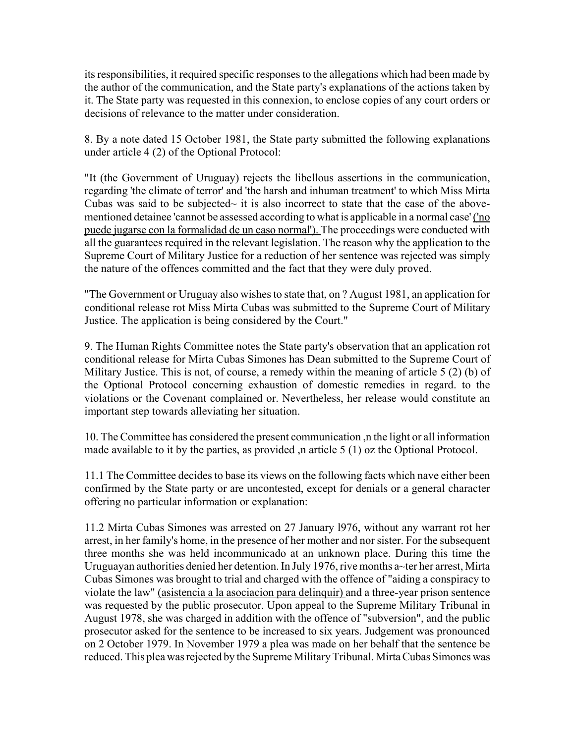its responsibilities, it required specific responses to the allegations which had been made by the author of the communication, and the State party's explanations of the actions taken by it. The State party was requested in this connexion, to enclose copies of any court orders or decisions of relevance to the matter under consideration.

8. By a note dated 15 October 1981, the State party submitted the following explanations under article 4 (2) of the Optional Protocol:

"It (the Government of Uruguay) rejects the libellous assertions in the communication, regarding 'the climate of terror' and 'the harsh and inhuman treatment' to which Miss Mirta Cubas was said to be subjected $\sim$  it is also incorrect to state that the case of the abovementioned detainee 'cannot be assessed according to what is applicable in a normal case' ('no puede jugarse con la formalidad de un caso normal'). The proceedings were conducted with all the guarantees required in the relevant legislation. The reason why the application to the Supreme Court of Military Justice for a reduction of her sentence was rejected was simply the nature of the offences committed and the fact that they were duly proved.

"The Government or Uruguay also wishes to state that, on ? August 1981, an application for conditional release rot Miss Mirta Cubas was submitted to the Supreme Court of Military Justice. The application is being considered by the Court."

9. The Human Rights Committee notes the State party's observation that an application rot conditional release for Mirta Cubas Simones has Dean submitted to the Supreme Court of Military Justice. This is not, of course, a remedy within the meaning of article 5 (2) (b) of the Optional Protocol concerning exhaustion of domestic remedies in regard. to the violations or the Covenant complained or. Nevertheless, her release would constitute an important step towards alleviating her situation.

10. The Committee has considered the present communication ,n the light or all information made available to it by the parties, as provided ,n article 5 (1) oz the Optional Protocol.

11.1 The Committee decides to base its views on the following facts which nave either been confirmed by the State party or are uncontested, except for denials or a general character offering no particular information or explanation:

11.2 Mirta Cubas Simones was arrested on 27 January l976, without any warrant rot her arrest, in her family's home, in the presence of her mother and nor sister. For the subsequent three months she was held incommunicado at an unknown place. During this time the Uruguayan authorities denied her detention. In July 1976, rive months a~ter her arrest, Mirta Cubas Simones was brought to trial and charged with the offence of "aiding a conspiracy to violate the law" (asistencia a la asociacion para delinquir) and a three-year prison sentence was requested by the public prosecutor. Upon appeal to the Supreme Military Tribunal in August 1978, she was charged in addition with the offence of "subversion", and the public prosecutor asked for the sentence to be increased to six years. Judgement was pronounced on 2 October 1979. In November 1979 a plea was made on her behalf that the sentence be reduced. This plea was rejected by the Supreme Military Tribunal. Mirta Cubas Simones was